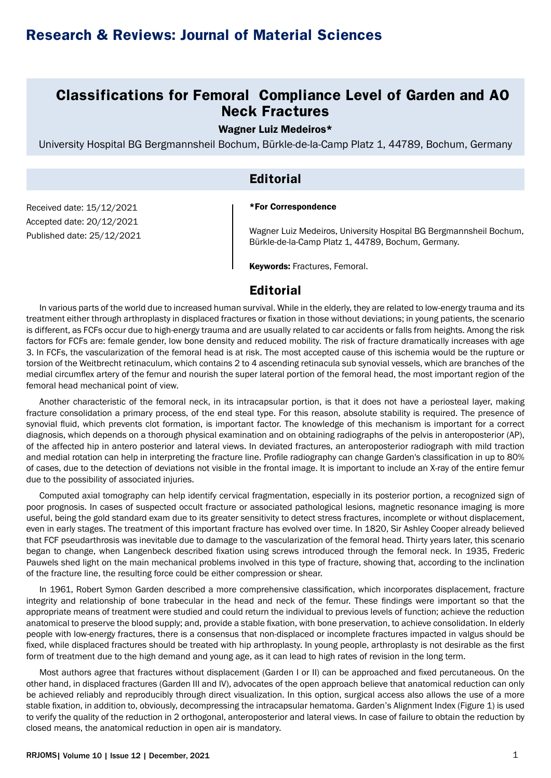# **Classifications for Femoral Compliance Level of Garden and AO Neck Fractures**

#### Wagner Luiz Medeiros\*

University Hospital BG Bergmannsheil Bochum, Bürkle-de-la-Camp Platz 1, 44789, Bochum, Germany

## **Editorial**

#### \*For Correspondence

Received date: 15/12/2021 Accepted date: 20/12/2021 Published date: 25/12/2021

Wagner Luiz Medeiros, University Hospital BG Bergmannsheil Bochum, Bürkle-de-la-Camp Platz 1, 44789, Bochum, Germany.

Keywords: Fractures, Femoral.

### **Editorial**

In various parts of the world due to increased human survival. While in the elderly, they are related to low-energy trauma and its treatment either through arthroplasty in displaced fractures or fixation in those without deviations; in young patients, the scenario is different, as FCFs occur due to high-energy trauma and are usually related to car accidents or falls from heights. Among the risk factors for FCFs are: female gender, low bone density and reduced mobility. The risk of fracture dramatically increases with age 3. In FCFs, the vascularization of the femoral head is at risk. The most accepted cause of this ischemia would be the rupture or torsion of the Weitbrecht retinaculum, which contains 2 to 4 ascending retinacula sub synovial vessels, which are branches of the medial circumflex artery of the femur and nourish the super lateral portion of the femoral head, the most important region of the femoral head mechanical point of view.

Another characteristic of the femoral neck, in its intracapsular portion, is that it does not have a periosteal layer, making fracture consolidation a primary process, of the end steal type. For this reason, absolute stability is required. The presence of synovial fluid, which prevents clot formation, is important factor. The knowledge of this mechanism is important for a correct diagnosis, which depends on a thorough physical examination and on obtaining radiographs of the pelvis in anteroposterior (AP), of the affected hip in antero posterior and lateral views. In deviated fractures, an anteroposterior radiograph with mild traction and medial rotation can help in interpreting the fracture line. Profile radiography can change Garden's classification in up to 80% of cases, due to the detection of deviations not visible in the frontal image. It is important to include an X-ray of the entire femur due to the possibility of associated injuries.

Computed axial tomography can help identify cervical fragmentation, especially in its posterior portion, a recognized sign of poor prognosis. In cases of suspected occult fracture or associated pathological lesions, magnetic resonance imaging is more useful, being the gold standard exam due to its greater sensitivity to detect stress fractures, incomplete or without displacement, even in early stages. The treatment of this important fracture has evolved over time. In 1820, Sir Ashley Cooper already believed that FCF pseudarthrosis was inevitable due to damage to the vascularization of the femoral head. Thirty years later, this scenario began to change, when Langenbeck described fixation using screws introduced through the femoral neck. In 1935, Frederic Pauwels shed light on the main mechanical problems involved in this type of fracture, showing that, according to the inclination of the fracture line, the resulting force could be either compression or shear.

In 1961, Robert Symon Garden described a more comprehensive classification, which incorporates displacement, fracture integrity and relationship of bone trabecular in the head and neck of the femur. These findings were important so that the appropriate means of treatment were studied and could return the individual to previous levels of function; achieve the reduction anatomical to preserve the blood supply; and, provide a stable fixation, with bone preservation, to achieve consolidation. In elderly people with low-energy fractures, there is a consensus that non-displaced or incomplete fractures impacted in valgus should be fixed, while displaced fractures should be treated with hip arthroplasty. In young people, arthroplasty is not desirable as the first form of treatment due to the high demand and young age, as it can lead to high rates of revision in the long term.

Most authors agree that fractures without displacement (Garden I or II) can be approached and fixed percutaneous. On the other hand, in displaced fractures (Garden III and IV), advocates of the open approach believe that anatomical reduction can only be achieved reliably and reproducibly through direct visualization. In this option, surgical access also allows the use of a more stable fixation, in addition to, obviously, decompressing the intracapsular hematoma. Garden's Alignment Index (Figure 1) is used to verify the quality of the reduction in 2 orthogonal, anteroposterior and lateral views. In case of failure to obtain the reduction by closed means, the anatomical reduction in open air is mandatory.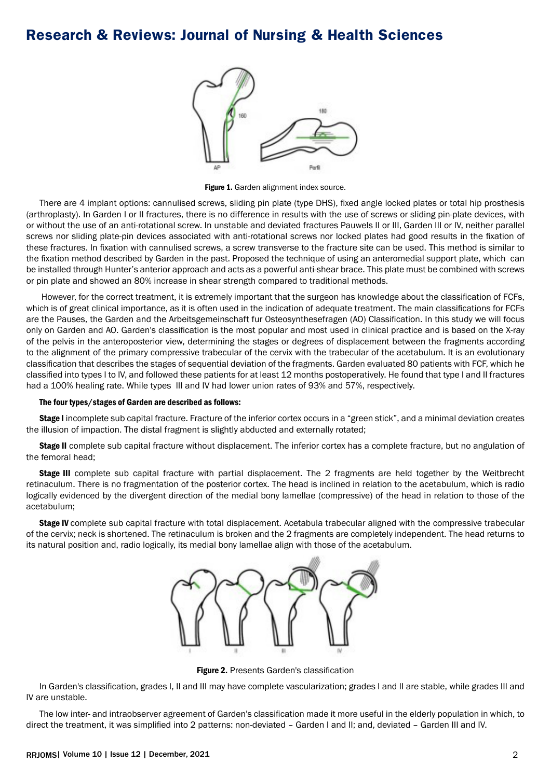# **Research & Reviews: Journal of Nursing & Health Sciences**



Figure 1. Garden alignment index source.

There are 4 implant options: cannulised screws, sliding pin plate (type DHS), fixed angle locked plates or total hip prosthesis (arthroplasty). In Garden I or II fractures, there is no difference in results with the use of screws or sliding pin-plate devices, with or without the use of an anti-rotational screw. In unstable and deviated fractures Pauwels II or III, Garden III or IV, neither parallel screws nor sliding plate-pin devices associated with anti-rotational screws nor locked plates had good results in the fixation of these fractures. In fixation with cannulised screws, a screw transverse to the fracture site can be used. This method is similar to the fixation method described by Garden in the past. Proposed the technique of using an anteromedial support plate, which can be installed through Hunter's anterior approach and acts as a powerful anti-shear brace. This plate must be combined with screws or pin plate and showed an 80% increase in shear strength compared to traditional methods.

 However, for the correct treatment, it is extremely important that the surgeon has knowledge about the classification of FCFs, which is of great clinical importance, as it is often used in the indication of adequate treatment. The main classifications for FCFs are the Pauses, the Garden and the Arbeitsgemeinschaft fur Osteosynthesefragen (AO) Classification. In this study we will focus only on Garden and AO. Garden's classification is the most popular and most used in clinical practice and is based on the X-ray of the pelvis in the anteroposterior view, determining the stages or degrees of displacement between the fragments according to the alignment of the primary compressive trabecular of the cervix with the trabecular of the acetabulum. It is an evolutionary classification that describes the stages of sequential deviation of the fragments. Garden evaluated 80 patients with FCF, which he classified into types I to IV, and followed these patients for at least 12 months postoperatively. He found that type I and II fractures had a 100% healing rate. While types III and IV had lower union rates of 93% and 57%, respectively.

#### The four types/stages of Garden are described as follows:

Stage I incomplete sub capital fracture. Fracture of the inferior cortex occurs in a "green stick", and a minimal deviation creates the illusion of impaction. The distal fragment is slightly abducted and externally rotated;

Stage II complete sub capital fracture without displacement. The inferior cortex has a complete fracture, but no angulation of the femoral head;

Stage III complete sub capital fracture with partial displacement. The 2 fragments are held together by the Weitbrecht retinaculum. There is no fragmentation of the posterior cortex. The head is inclined in relation to the acetabulum, which is radio logically evidenced by the divergent direction of the medial bony lamellae (compressive) of the head in relation to those of the acetabulum;

Stage IV complete sub capital fracture with total displacement. Acetabula trabecular aligned with the compressive trabecular of the cervix; neck is shortened. The retinaculum is broken and the 2 fragments are completely independent. The head returns to its natural position and, radio logically, its medial bony lamellae align with those of the acetabulum.



Figure 2. Presents Garden's classification

In Garden's classification, grades I, II and III may have complete vascularization; grades I and II are stable, while grades III and IV are unstable.

The low inter- and intraobserver agreement of Garden's classification made it more useful in the elderly population in which, to direct the treatment, it was simplified into 2 patterns: non-deviated – Garden I and II; and, deviated – Garden III and IV.